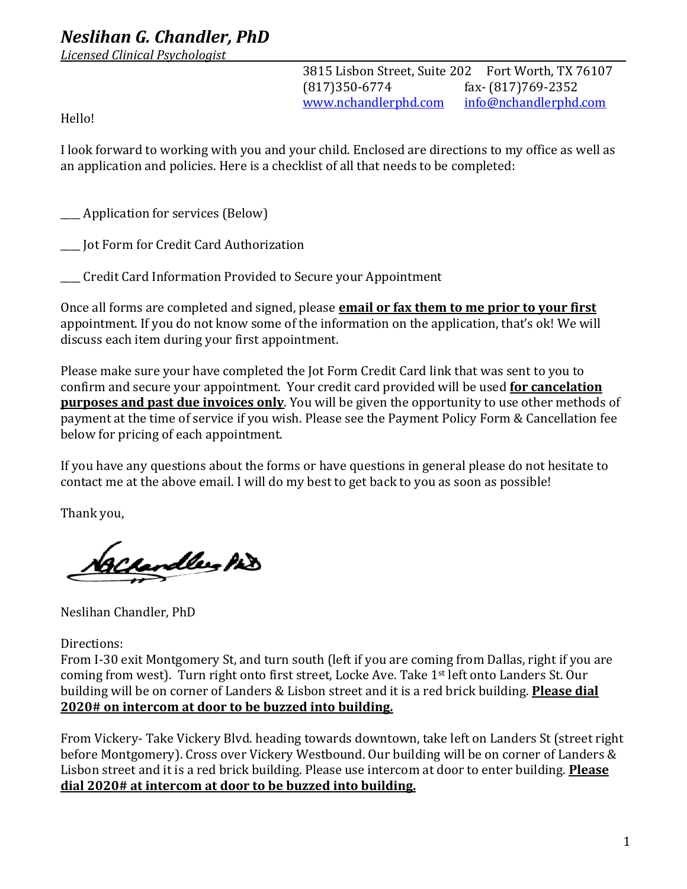## *Neslihan G. Chandler, PhD*

*Licensed Clinical Psychologist*

3815 Lisbon Street, Suite 202 Fort Worth, TX 76107 (817)350-6774 fax- (817)769-2352 www.nchandlerphd.com info@nchandlerphd.com

Hello! 

I look forward to working with you and your child. Enclosed are directions to my office as well as an application and policies. Here is a checklist of all that needs to be completed:

\_\_\_\_\_ Application for services (Below)

\_\_\_\_ Jot Form for Credit Card Authorization

**\_\_\_** Credit Card Information Provided to Secure your Appointment

Once all forms are completed and signed, please **email or fax them to me prior to your first** appointment. If you do not know some of the information on the application, that's ok! We will discuss each item during your first appointment.

Please make sure your have completed the Jot Form Credit Card link that was sent to you to confirm and secure your appointment. Your credit card provided will be used **for cancelation purposes and past due invoices only.** You will be given the opportunity to use other methods of payment at the time of service if you wish. Please see the Payment Policy Form & Cancellation fee below for pricing of each appointment.

If you have any questions about the forms or have questions in general please do not hesitate to contact me at the above email. I will do my best to get back to you as soon as possible!

Thank you,

Vackandler his

Neslihan Chandler, PhD

Directions:

From I-30 exit Montgomery St, and turn south (left if you are coming from Dallas, right if you are coming from west). Turn right onto first street, Locke Ave. Take 1<sup>st</sup> left onto Landers St. Our building will be on corner of Landers & Lisbon street and it is a red brick building. **Please dial 2020# on intercom at door to be buzzed into building.**

From Vickery- Take Vickery Blvd. heading towards downtown, take left on Landers St (street right before Montgomery). Cross over Vickery Westbound. Our building will be on corner of Landers & Lisbon street and it is a red brick building. Please use intercom at door to enter building. Please dial 2020# at intercom at door to be buzzed into building.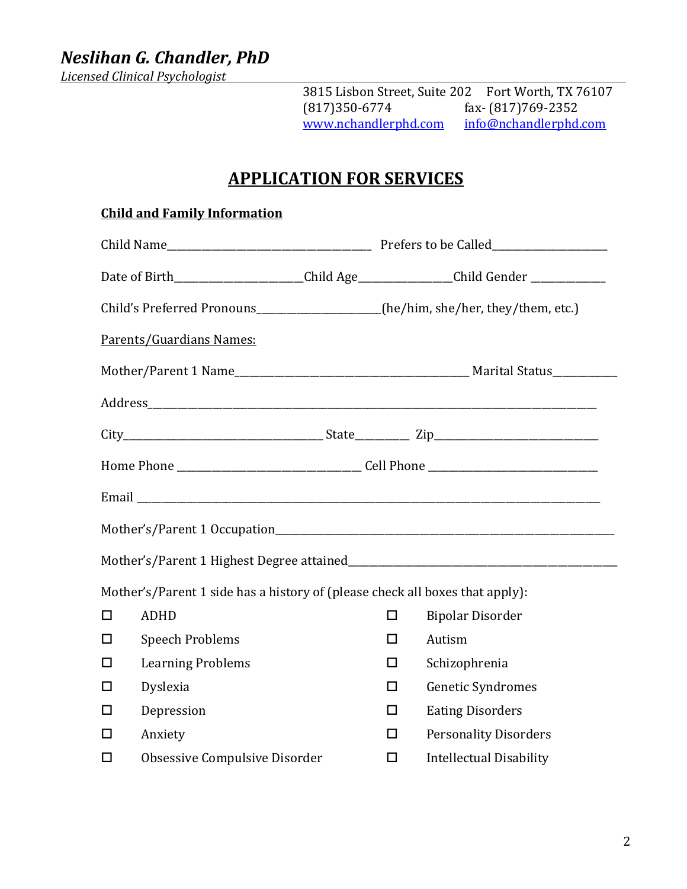*Neslihan G. Chandler, PhD*

*Licensed Clinical Psychologist*

3815 Lisbon Street, Suite 202 Fort Worth, TX 76107<br>(817)350-6774 fax- (817)769-2352 fax-  $(817)769-2352$ <br>info@nchandlerphd.com www.nchandlerphd.com

# **APPLICATION FOR SERVICES**

#### **Child and Family Information**

|        | Date of Birth______________________Child Age_______________Child Gender ____________ |        |                                |  |  |
|--------|--------------------------------------------------------------------------------------|--------|--------------------------------|--|--|
|        | Child's Preferred Pronouns_________________(he/him, she/her, they/them, etc.)        |        |                                |  |  |
|        | Parents/Guardians Names:                                                             |        |                                |  |  |
|        |                                                                                      |        |                                |  |  |
|        |                                                                                      |        |                                |  |  |
|        |                                                                                      |        |                                |  |  |
|        |                                                                                      |        |                                |  |  |
|        |                                                                                      |        |                                |  |  |
|        |                                                                                      |        |                                |  |  |
|        |                                                                                      |        |                                |  |  |
|        | Mother's/Parent 1 side has a history of (please check all boxes that apply):         |        |                                |  |  |
| □      | <b>ADHD</b>                                                                          | $\Box$ | <b>Bipolar Disorder</b>        |  |  |
| П      | <b>Speech Problems</b>                                                               | ◻      | Autism                         |  |  |
| $\Box$ | <b>Learning Problems</b>                                                             | п      | Schizophrenia                  |  |  |
| $\Box$ | Dyslexia                                                                             | □      | <b>Genetic Syndromes</b>       |  |  |
| □      | Depression                                                                           | П      | <b>Eating Disorders</b>        |  |  |
| П      | Anxiety                                                                              | П      | <b>Personality Disorders</b>   |  |  |
| □      | Obsessive Compulsive Disorder                                                        | □      | <b>Intellectual Disability</b> |  |  |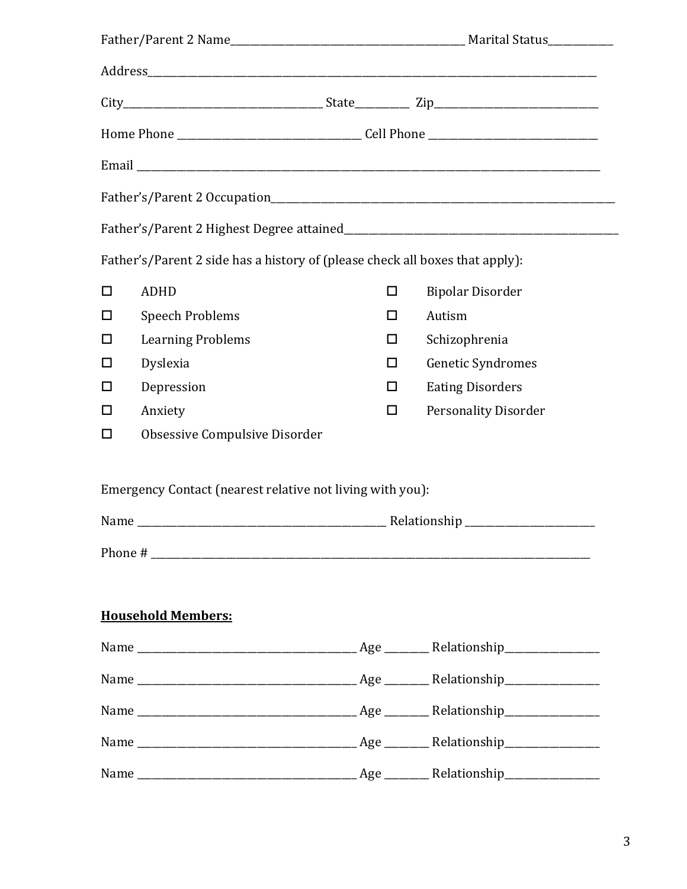|        | Father's/Parent 2 side has a history of (please check all boxes that apply): |        |                             |
|--------|------------------------------------------------------------------------------|--------|-----------------------------|
| $\Box$ | <b>ADHD</b>                                                                  | $\Box$ | <b>Bipolar Disorder</b>     |
| □      | <b>Speech Problems</b>                                                       | П      | Autism                      |
| $\Box$ | <b>Learning Problems</b>                                                     | ப      | Schizophrenia               |
| $\Box$ | Dyslexia                                                                     | □      | Genetic Syndromes           |
| □      | Depression                                                                   | □      | <b>Eating Disorders</b>     |
| $\Box$ | Anxiety                                                                      | ◻      | <b>Personality Disorder</b> |
| □      | Obsessive Compulsive Disorder                                                |        |                             |
|        | Emergency Contact (nearest relative not living with you):                    |        |                             |
|        |                                                                              |        |                             |
|        |                                                                              |        |                             |
|        |                                                                              |        |                             |
|        | <b>Household Members:</b>                                                    |        |                             |
|        |                                                                              |        |                             |
|        |                                                                              |        |                             |
|        |                                                                              |        |                             |
|        |                                                                              |        |                             |
|        |                                                                              |        |                             |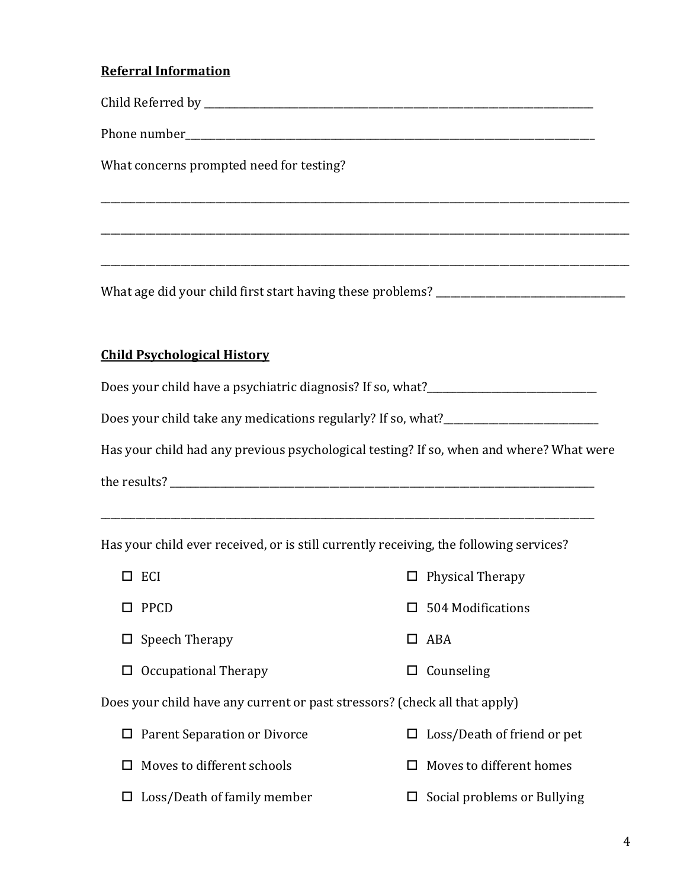### **Referral Information**

Child Referred by \_\_\_\_\_\_\_\_\_\_\_\_\_\_\_\_\_\_\_\_\_\_\_\_\_\_\_\_\_\_\_\_\_\_\_\_\_\_\_\_\_\_\_\_\_\_\_\_\_\_\_\_\_\_\_\_\_\_\_\_\_\_\_\_\_\_\_\_\_\_\_\_\_\_\_\_\_\_

\_\_\_\_\_\_\_\_\_\_\_\_\_\_\_\_\_\_\_\_\_\_\_\_\_\_\_\_\_\_\_\_\_\_\_\_\_\_\_\_\_\_\_\_\_\_\_\_\_\_\_\_\_\_\_\_\_\_\_\_\_\_\_\_\_\_\_\_\_\_\_\_\_\_\_\_\_\_\_\_\_\_\_\_\_\_\_\_\_\_\_\_\_\_\_\_\_\_\_\_\_\_\_\_\_\_

\_\_\_\_\_\_\_\_\_\_\_\_\_\_\_\_\_\_\_\_\_\_\_\_\_\_\_\_\_\_\_\_\_\_\_\_\_\_\_\_\_\_\_\_\_\_\_\_\_\_\_\_\_\_\_\_\_\_\_\_\_\_\_\_\_\_\_\_\_\_\_\_\_\_\_\_\_\_\_\_\_\_\_\_\_\_\_\_\_\_\_\_\_\_\_\_\_\_\_\_\_\_\_\_\_\_

\_\_\_\_\_\_\_\_\_\_\_\_\_\_\_\_\_\_\_\_\_\_\_\_\_\_\_\_\_\_\_\_\_\_\_\_\_\_\_\_\_\_\_\_\_\_\_\_\_\_\_\_\_\_\_\_\_\_\_\_\_\_\_\_\_\_\_\_\_\_\_\_\_\_\_\_\_\_\_\_\_\_\_\_\_\_\_\_\_\_\_\_\_\_\_\_\_\_\_\_\_\_\_\_\_\_

Phone number\_\_\_\_\_\_\_\_\_\_\_\_\_\_\_\_\_\_\_\_\_\_\_\_\_\_\_\_\_\_\_\_\_\_\_\_\_\_\_\_\_\_\_\_\_\_\_\_\_\_\_\_\_\_\_\_\_\_\_\_\_\_\_\_\_\_\_\_\_\_\_\_\_\_\_\_\_\_\_\_\_\_

What concerns prompted need for testing?

What age did your child first start having these problems? \_\_\_\_\_\_\_\_\_\_\_\_\_\_\_\_\_\_\_\_\_

#### **Child Psychological History**

Does your child have a psychiatric diagnosis? If so, what?\_\_\_\_\_\_\_\_\_\_\_\_\_\_\_\_\_\_\_\_\_\_\_

Does your child take any medications regularly? If so, what?\_\_\_\_\_\_\_\_\_\_\_\_\_\_\_\_\_\_\_\_\_

Has your child had any previous psychological testing? If so, when and where? What were

the results? \_\_\_\_\_\_\_\_\_\_\_\_\_\_\_\_\_\_\_\_\_\_\_\_\_\_\_\_\_\_\_\_\_\_\_\_\_\_\_\_\_\_\_\_\_\_\_\_\_\_\_\_\_\_\_\_\_\_\_\_\_\_\_\_\_\_\_\_\_\_\_\_\_\_\_\_\_\_\_\_\_\_\_\_\_

Has your child ever received, or is still currently receiving, the following services?

| ECI                                                                        |   | $\Box$ Physical Therapy            |
|----------------------------------------------------------------------------|---|------------------------------------|
| PPCD                                                                       |   | $\Box$ 504 Modifications           |
| $\Box$ Speech Therapy                                                      |   | $\Box$ ABA                         |
| $\Box$ Occupational Therapy                                                |   | $\Box$ Counseling                  |
| Does your child have any current or past stressors? (check all that apply) |   |                                    |
| $\Box$ Parent Separation or Divorce                                        |   | $\Box$ Loss/Death of friend or pet |
| $\Box$ Moves to different schools                                          |   | $\Box$ Moves to different homes    |
| Loss/Death of family member                                                | ப | Social problems or Bullying        |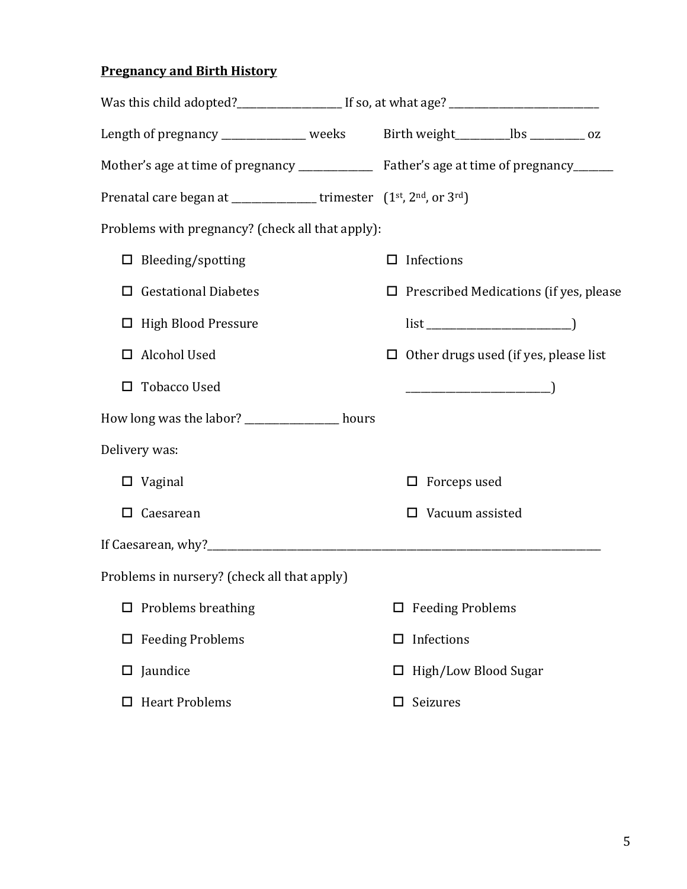## **Pregnancy and Birth History**

| Was this child adopted?______________________If so, at what age? __________________________________        |                                               |  |  |  |  |
|------------------------------------------------------------------------------------------------------------|-----------------------------------------------|--|--|--|--|
| Length of pregnancy ______________ weeks Birth weight_________lbs _________ oz                             |                                               |  |  |  |  |
| Mother's age at time of pregnancy _______________ Father's age at time of pregnancy______                  |                                               |  |  |  |  |
| Prenatal care began at ________________trimester (1 <sup>st</sup> , 2 <sup>nd</sup> , or 3 <sup>rd</sup> ) |                                               |  |  |  |  |
| Problems with pregnancy? (check all that apply):                                                           |                                               |  |  |  |  |
| $\Box$ Bleeding/spotting                                                                                   | Infections<br>ப                               |  |  |  |  |
| <b>Gestational Diabetes</b>                                                                                | $\Box$ Prescribed Medications (if yes, please |  |  |  |  |
| □ High Blood Pressure                                                                                      |                                               |  |  |  |  |
| Alcohol Used<br>0                                                                                          | $\Box$ Other drugs used (if yes, please list  |  |  |  |  |
| <b>Tobacco Used</b>                                                                                        |                                               |  |  |  |  |
| How long was the labor? ______________ hours                                                               |                                               |  |  |  |  |
| Delivery was:                                                                                              |                                               |  |  |  |  |
| $\Box$ Vaginal                                                                                             | Forceps used<br>◻                             |  |  |  |  |
| Caesarean<br>□                                                                                             | Vacuum assisted<br>ΙI                         |  |  |  |  |
|                                                                                                            |                                               |  |  |  |  |
| Problems in nursery? (check all that apply)                                                                |                                               |  |  |  |  |
| $\Box$ Problems breathing                                                                                  | <b>Feeding Problems</b><br>□                  |  |  |  |  |
| <b>Feeding Problems</b>                                                                                    | Infections<br>□                               |  |  |  |  |
| Jaundice                                                                                                   | High/Low Blood Sugar<br>ப                     |  |  |  |  |
| <b>Heart Problems</b>                                                                                      | Seizures<br>ப                                 |  |  |  |  |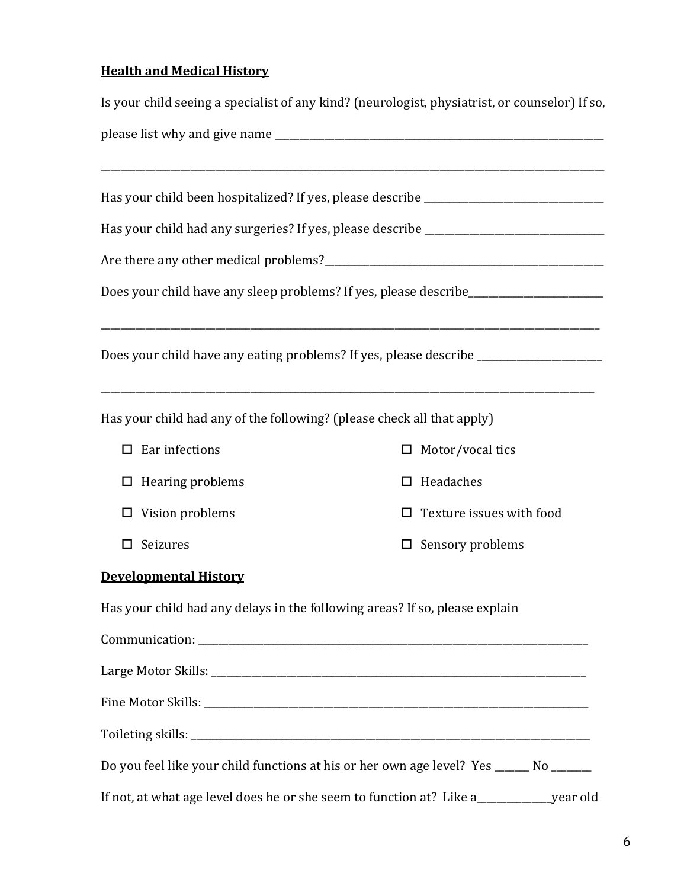## **Health and Medical History**

|                                                                             | Is your child seeing a specialist of any kind? (neurologist, physiatrist, or counselor) If so, |  |  |  |  |  |
|-----------------------------------------------------------------------------|------------------------------------------------------------------------------------------------|--|--|--|--|--|
|                                                                             |                                                                                                |  |  |  |  |  |
|                                                                             | Has your child been hospitalized? If yes, please describe _______________________              |  |  |  |  |  |
|                                                                             | Has your child had any surgeries? If yes, please describe _______________________              |  |  |  |  |  |
|                                                                             |                                                                                                |  |  |  |  |  |
|                                                                             | Does your child have any sleep problems? If yes, please describe_________________              |  |  |  |  |  |
|                                                                             | Does your child have any eating problems? If yes, please describe _______________              |  |  |  |  |  |
| Has your child had any of the following? (please check all that apply)      |                                                                                                |  |  |  |  |  |
| Ear infections<br>□                                                         | Motor/vocal tics                                                                               |  |  |  |  |  |
| Hearing problems<br>ப                                                       | Headaches                                                                                      |  |  |  |  |  |
| Vision problems                                                             | Texture issues with food                                                                       |  |  |  |  |  |
| Seizures                                                                    | Sensory problems                                                                               |  |  |  |  |  |
| <b>Developmental History</b>                                                |                                                                                                |  |  |  |  |  |
| Has your child had any delays in the following areas? If so, please explain |                                                                                                |  |  |  |  |  |
|                                                                             |                                                                                                |  |  |  |  |  |
|                                                                             |                                                                                                |  |  |  |  |  |
|                                                                             |                                                                                                |  |  |  |  |  |
|                                                                             |                                                                                                |  |  |  |  |  |
|                                                                             | Do you feel like your child functions at his or her own age level? Yes _____ No _____          |  |  |  |  |  |
|                                                                             | If not, at what age level does he or she seem to function at? Like a_____________year old      |  |  |  |  |  |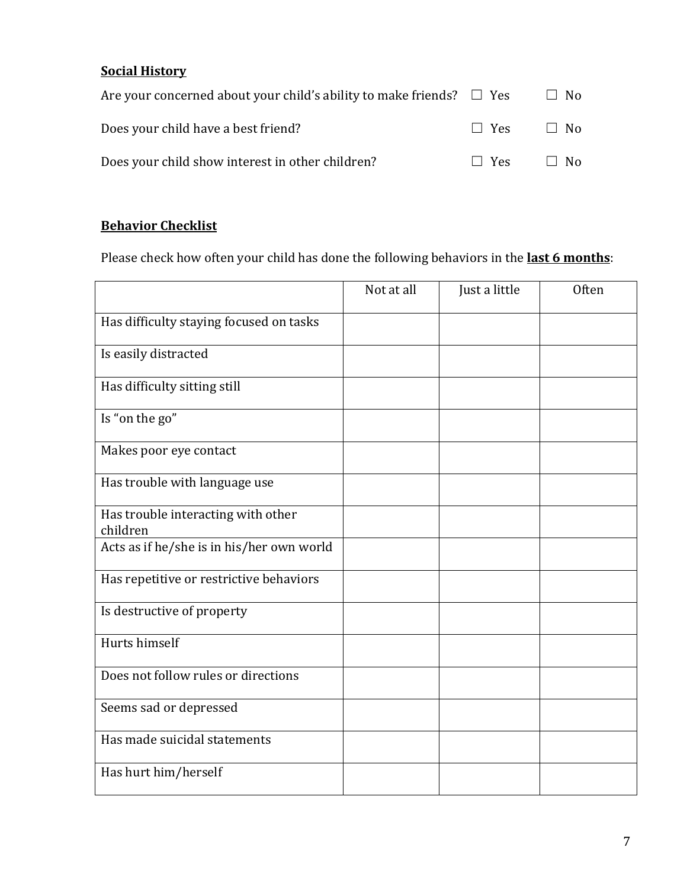## **Social History**

| Are your concerned about your child's ability to make friends? $\square$ Yes |                      | $\Box$ No |
|------------------------------------------------------------------------------|----------------------|-----------|
| Does your child have a best friend?                                          | $\Box$ Yes $\Box$ No |           |
| Does your child show interest in other children?                             | $\Box$ Yes $\Box$ No |           |

### **Behavior Checklist**

Please check how often your child has done the following behaviors in the **last 6 months**:

|                                                | Not at all | Just a little | Often |
|------------------------------------------------|------------|---------------|-------|
| Has difficulty staying focused on tasks        |            |               |       |
| Is easily distracted                           |            |               |       |
| Has difficulty sitting still                   |            |               |       |
| Is "on the go"                                 |            |               |       |
| Makes poor eye contact                         |            |               |       |
| Has trouble with language use                  |            |               |       |
| Has trouble interacting with other<br>children |            |               |       |
| Acts as if he/she is in his/her own world      |            |               |       |
| Has repetitive or restrictive behaviors        |            |               |       |
| Is destructive of property                     |            |               |       |
| Hurts himself                                  |            |               |       |
| Does not follow rules or directions            |            |               |       |
| Seems sad or depressed                         |            |               |       |
| Has made suicidal statements                   |            |               |       |
| Has hurt him/herself                           |            |               |       |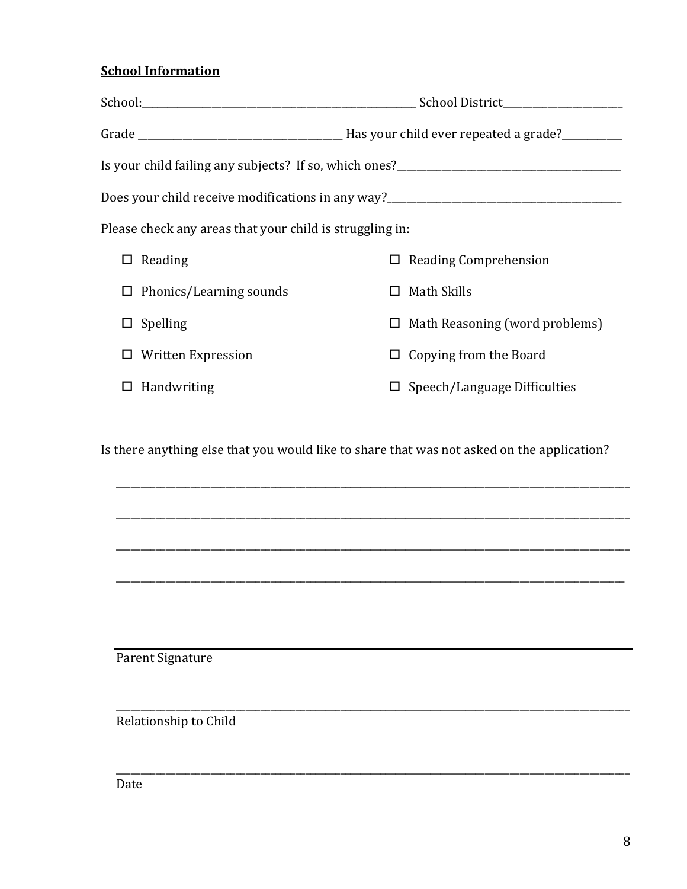### **School Information**

|                                                          | Is your child failing any subjects? If so, which ones?__________________________  |
|----------------------------------------------------------|-----------------------------------------------------------------------------------|
|                                                          | Does your child receive modifications in any way?________________________________ |
| Please check any areas that your child is struggling in: |                                                                                   |
| Reading<br>ப                                             | $\Box$ Reading Comprehension                                                      |
| $\Box$ Phonics/Learning sounds                           | $\Box$ Math Skills                                                                |
| $\square$ Spelling                                       | $\Box$ Math Reasoning (word problems)                                             |
| <b>Written Expression</b>                                | $\Box$ Copying from the Board                                                     |
| Handwriting                                              | $\square$ Speech/Language Difficulties                                            |

Is there anything else that you would like to share that was not asked on the application?

\_\_\_\_\_\_\_\_\_\_\_\_\_\_\_\_\_\_\_\_\_\_\_\_\_\_\_\_\_\_\_\_\_\_\_\_\_\_\_\_\_\_\_\_\_\_\_\_\_\_\_\_\_\_\_\_\_\_\_\_\_\_\_\_\_\_\_\_\_\_\_\_\_\_\_\_\_\_\_\_\_\_\_\_\_\_\_\_\_\_\_\_\_\_\_\_\_\_\_\_\_\_\_

\_\_\_\_\_\_\_\_\_\_\_\_\_\_\_\_\_\_\_\_\_\_\_\_\_\_\_\_\_\_\_\_\_\_\_\_\_\_\_\_\_\_\_\_\_\_\_\_\_\_\_\_\_\_\_\_\_\_\_\_\_\_\_\_\_\_\_\_\_\_\_\_\_\_\_\_\_\_\_\_\_\_\_\_\_\_\_\_\_\_\_\_\_\_\_\_\_\_\_\_\_\_\_

\_\_\_\_\_\_\_\_\_\_\_\_\_\_\_\_\_\_\_\_\_\_\_\_\_\_\_\_\_\_\_\_\_\_\_\_\_\_\_\_\_\_\_\_\_\_\_\_\_\_\_\_\_\_\_\_\_\_\_\_\_\_\_\_\_\_\_\_\_\_\_\_\_\_\_\_\_\_\_\_\_\_\_\_\_\_\_\_\_\_\_\_\_\_\_\_\_\_\_\_\_\_\_

\_\_\_\_\_\_\_\_\_\_\_\_\_\_\_\_\_\_\_\_\_\_\_\_\_\_\_\_\_\_\_\_\_\_\_\_\_\_\_\_\_\_\_\_\_\_\_\_\_\_\_\_\_\_\_\_\_\_\_\_\_\_\_\_\_\_\_\_\_\_\_\_\_\_\_\_\_\_\_\_\_\_\_\_\_\_\_\_\_\_\_\_\_\_\_\_\_\_\_\_\_\_

\_\_\_\_\_\_\_\_\_\_\_\_\_\_\_\_\_\_\_\_\_\_\_\_\_\_\_\_\_\_\_\_\_\_\_\_\_\_\_\_\_\_\_\_\_\_\_\_\_\_\_\_\_\_\_\_\_\_\_\_\_\_\_\_\_\_\_\_\_\_\_\_\_\_\_\_\_\_\_\_\_\_\_\_\_\_\_\_\_\_\_\_\_\_\_\_\_\_\_\_\_\_\_

\_\_\_\_\_\_\_\_\_\_\_\_\_\_\_\_\_\_\_\_\_\_\_\_\_\_\_\_\_\_\_\_\_\_\_\_\_\_\_\_\_\_\_\_\_\_\_\_\_\_\_\_\_\_\_\_\_\_\_\_\_\_\_\_\_\_\_\_\_\_\_\_\_\_\_\_\_\_\_\_\_\_\_\_\_\_\_\_\_\_\_\_\_\_\_\_\_\_\_\_\_\_\_

Parent Signature

Relationship to Child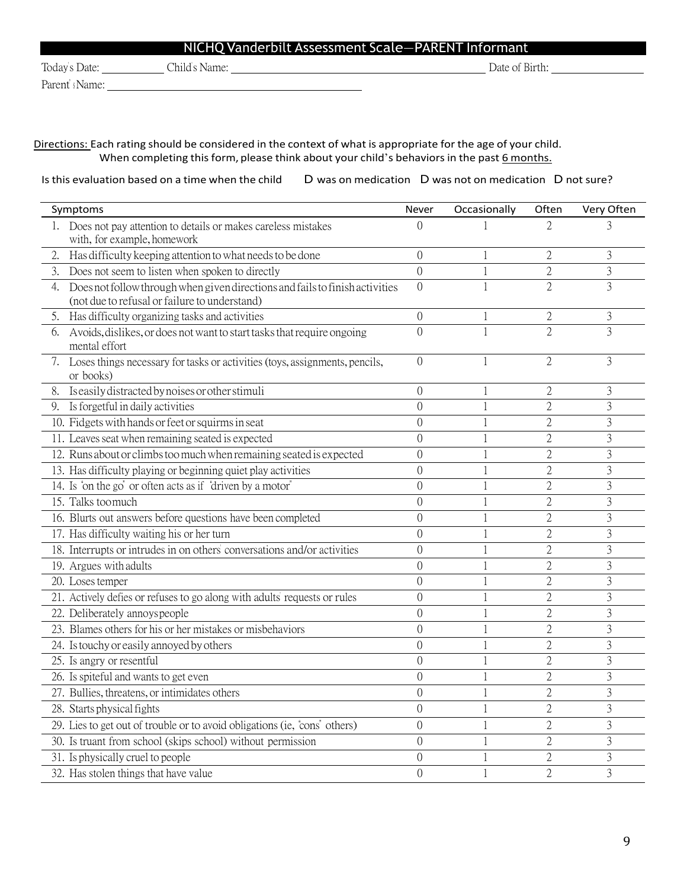| NICHQ Vanderbilt Assessment Scale-PARENT Informant |               |                |  |  |
|----------------------------------------------------|---------------|----------------|--|--|
| Today's Date:                                      | Child's Name: | Date of Birth: |  |  |

Parent's Name:

Directions: Each rating should be considered in the context of what is appropriate for the age of your child. When completing this form, please think about your child's behaviors in the past 6 months.

Is this evaluation based on a time when the child D was on medication D was not on medication D not sure?

| Symptoms                                                                                                                            | Never            | Occasionally | Often          | Very Often     |
|-------------------------------------------------------------------------------------------------------------------------------------|------------------|--------------|----------------|----------------|
| Does not pay attention to details or makes careless mistakes<br>1.<br>with, for example, homework                                   | $\Omega$         |              | 2              | 3              |
| Has difficulty keeping attention to what needs to be done<br>2.                                                                     | $\theta$         |              | $\overline{2}$ | 3              |
| 3.<br>Does not seem to listen when spoken to directly                                                                               | $\theta$         |              | $\mathbf{2}$   | $\overline{3}$ |
| Does not follow through when given directions and fails to finish activities<br>4.<br>(not due to refusal or failure to understand) | $\left( \right)$ |              | $\overline{2}$ | $\overline{3}$ |
| 5. Has difficulty organizing tasks and activities                                                                                   | $\theta$         |              | $\mathbf{2}$   | 3              |
| 6. Avoids, dislikes, or does not want to start tasks that require ongoing<br>mental effort                                          | $\overline{0}$   |              | $\overline{2}$ | $\overline{3}$ |
| 7. Loses things necessary for tasks or activities (toys, assignments, pencils,<br>or books)                                         | $\overline{0}$   |              | $\overline{2}$ | $\overline{3}$ |
| 8. Is easily distracted by noises or other stimuli                                                                                  | $\theta$         | 1            | $\mathfrak{2}$ | 3              |
| 9. Is forgetful in daily activities                                                                                                 | $\overline{0}$   |              | $\overline{2}$ | 3              |
| 10. Fidgets with hands or feet or squirms in seat                                                                                   | $\overline{0}$   |              | $\overline{2}$ | 3              |
| 11. Leaves seat when remaining seated is expected                                                                                   | $\overline{0}$   |              | $\overline{2}$ | $\overline{3}$ |
| 12. Runs about or climbs too much when remaining seated is expected                                                                 | $\overline{0}$   |              | $\overline{2}$ | $\overline{3}$ |
| 13. Has difficulty playing or beginning quiet play activities                                                                       | $\theta$         |              | $\overline{2}$ | 3              |
| 14. Is 'on the go' or often acts as if "driven by a motor"                                                                          | $\overline{0}$   |              | $\overline{2}$ | 3              |
| 15. Talks toomuch                                                                                                                   | $\overline{0}$   |              | $\overline{2}$ | 3              |
| 16. Blurts out answers before questions have been completed                                                                         | $\overline{0}$   |              | $\mathbf{2}$   | $\overline{3}$ |
| 17. Has difficulty waiting his or her turn                                                                                          | $\theta$         |              | $\overline{2}$ | 3              |
| 18. Interrupts or intrudes in on others' conversations and/or activities                                                            | $\theta$         |              | $\overline{2}$ | $\overline{3}$ |
| 19. Argues with adults                                                                                                              | $\theta$         |              | $\overline{2}$ | $\overline{3}$ |
| 20. Loses temper                                                                                                                    | $\theta$         |              | $\overline{2}$ | 3              |
| 21. Actively defies or refuses to go along with adults' requests or rules                                                           | $\overline{0}$   |              | $\overline{2}$ | $\overline{3}$ |
| 22. Deliberately annoyspeople                                                                                                       | $\theta$         |              | $\overline{2}$ | $\overline{3}$ |
| 23. Blames others for his or her mistakes or misbehaviors                                                                           | $\theta$         |              | $\overline{2}$ | $\overline{3}$ |
| 24. Is touchy or easily annoyed by others                                                                                           | $\theta$         |              | $\overline{2}$ | $\overline{3}$ |
| 25. Is angry or resentful                                                                                                           | $\left( \right)$ |              | $\mathfrak{2}$ | $\overline{3}$ |
| 26. Is spiteful and wants to get even                                                                                               | $\theta$         |              | $\mathfrak{2}$ | $\overline{3}$ |
| 27. Bullies, threatens, or intimidates others                                                                                       | $\theta$         |              | $\mathfrak{2}$ | 3              |
| 28. Starts physical fights                                                                                                          | $\overline{0}$   |              | $\mathfrak{2}$ | 3              |
| 29. Lies to get out of trouble or to avoid obligations (ie, "cons" others)                                                          | $\overline{0}$   |              | $\mathbf{2}$   | 3              |
| 30. Is truant from school (skips school) without permission                                                                         | $\overline{0}$   | 1            | $\mathfrak{2}$ | 3              |
| 31. Is physically cruel to people                                                                                                   | $\theta$         |              | $\overline{2}$ | 3              |
| 32. Has stolen things that have value                                                                                               | $\overline{0}$   |              | $\overline{2}$ | $\overline{3}$ |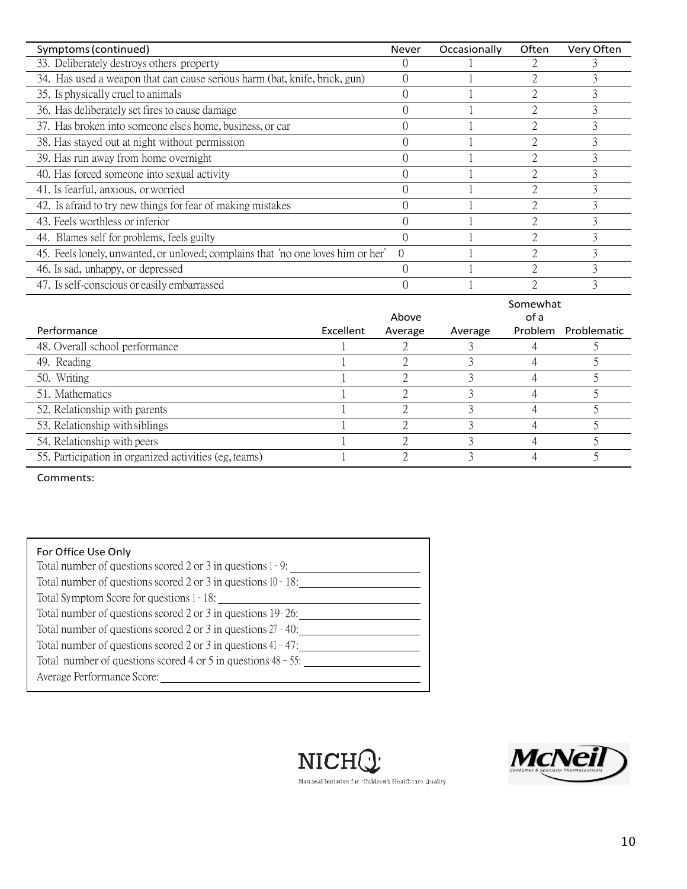| Symptoms (continued)                                                             | <b>Never</b>     | Occasionally | Often                         | Very Often                                |
|----------------------------------------------------------------------------------|------------------|--------------|-------------------------------|-------------------------------------------|
| 33. Deliberately destroys others' property                                       |                  |              |                               |                                           |
| 34. Has used a weapon that can cause serious harm (bat, knife, brick, gun)       | $\Omega$         |              | 2                             | Ĵ,                                        |
| 35. Is physically cruel to animals                                               | 0                |              | 2                             | 3                                         |
| 36. Has deliberately set fires to cause damage                                   | $\Omega$         |              | $\mathfrak{D}_{\mathfrak{p}}$ | 3                                         |
| 37. Has broken into someone else's home, business, or car                        | $\Omega$         |              | 2                             | 3                                         |
| 38. Has stayed out at night without permission                                   | $\Omega$         |              |                               | 3                                         |
| 39. Has run away from home overnight                                             | $\Omega$         |              |                               | 3                                         |
| 40. Has forced someone into sexual activity                                      | $\Omega$         |              |                               | 3                                         |
| 41. Is fearful, anxious, or worried                                              | $\Omega$         |              | $\mathfrak{D}$                | 3                                         |
| 42. Is a fraid to try new things for fear of making mistakes                     |                  |              | 2                             | 3                                         |
| 43. Feels worthless or inferior                                                  |                  |              | 2                             | 3                                         |
| 44. Blames self for problems, feels guilty                                       |                  |              | $\mathfrak{D}$                | 3                                         |
| 45. Feels lonely, unwanted, or unloved; complains that "no one loves him or her" | $\theta$         |              | $\mathfrak{D}_{\mathfrak{p}}$ | 3                                         |
| 46. Is sad, unhappy, or depressed                                                | $\Omega$         |              |                               | 3                                         |
| 47. Is self-conscious or easily embarrassed                                      | $\left( \right)$ |              |                               |                                           |
|                                                                                  | Above            |              | Somewhat<br>of a              | $\sim$ $\sim$ $\sim$ $\sim$ $\sim$ $\sim$ |

|                                                       |           | Above   |         | of a    |             |
|-------------------------------------------------------|-----------|---------|---------|---------|-------------|
| Performance                                           | Excellent | Average | Average | Problem | Problematic |
| 48. Overall school performance                        |           |         |         |         |             |
| 49. Reading                                           |           |         |         |         |             |
| 50. Writing                                           |           |         |         |         |             |
| 51. Mathematics                                       |           |         |         |         |             |
| 52. Relationship with parents                         |           |         |         |         |             |
| 53. Relationship with siblings                        |           |         |         |         |             |
| 54. Relationship with peers                           |           |         |         |         |             |
| 55. Participation in organized activities (eg, teams) |           |         |         |         |             |

Comments:

| For Office Use Only                                              |
|------------------------------------------------------------------|
| Total number of questions scored 2 or 3 in questions $1 - 9$ :   |
| Total number of questions scored 2 or 3 in questions $10 - 18$ : |
| Total Symptom Score for questions 1 - 18:                        |
| Total number of questions scored 2 or 3 in questions 19-26:      |
| Total number of questions scored 2 or 3 in questions $27 - 40$ : |
| Total number of questions scored 2 or 3 in questions $41 - 47$ : |
| Total number of questions scored 4 or 5 in questions $48 - 55$ : |
| Average Performance Score:                                       |
|                                                                  |





National Initiative for Children's Healthcare Quality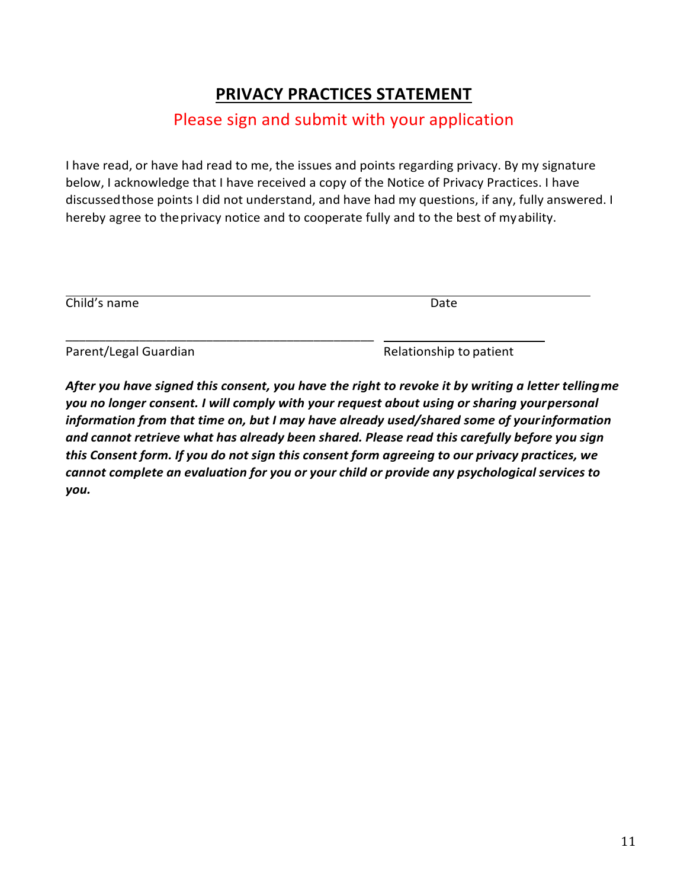# **PRIVACY PRACTICES STATEMENT**

### Please sign and submit with your application

I have read, or have had read to me, the issues and points regarding privacy. By my signature below, I acknowledge that I have received a copy of the Notice of Privacy Practices. I have discussedthose points I did not understand, and have had my questions, if any, fully answered. I hereby agree to theprivacy notice and to cooperate fully and to the best of myability.

| Child's name          | Date                    |
|-----------------------|-------------------------|
| Parent/Legal Guardian | Relationship to patient |

*After you have signed this consent, you have the right to revoke it by writing a letter tellingme you no longer consent. I will comply with your request about using or sharing yourpersonal information from that time on, but I may have already used/shared some of yourinformation and cannot retrieve what has already been shared. Please read this carefully before you sign this Consent form. If you do not sign this consent form agreeing to our privacy practices, we cannot complete an evaluation for you or your child or provide any psychological services to you.*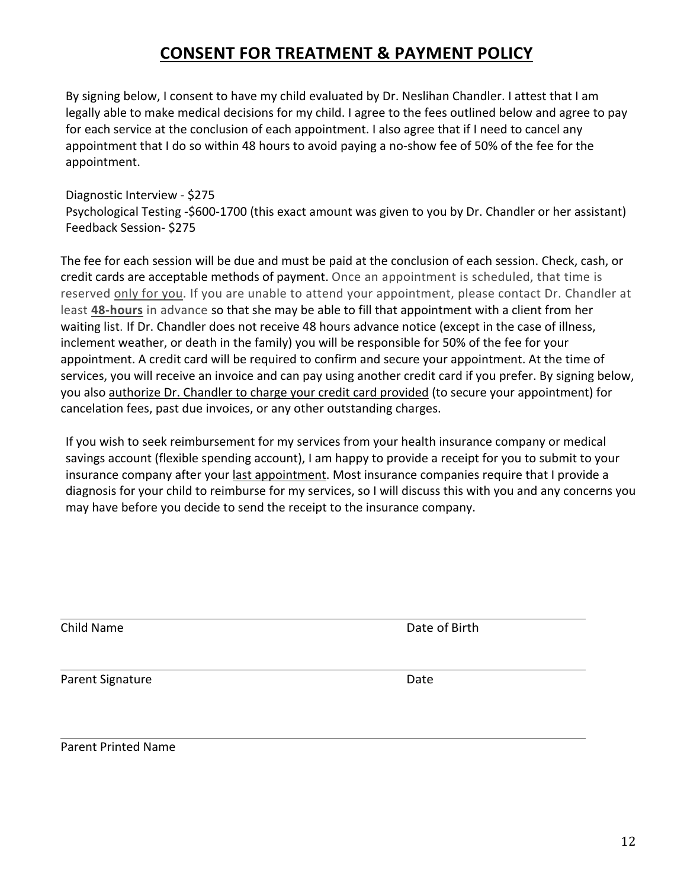## **CONSENT FOR TREATMENT & PAYMENT POLICY**

By signing below, I consent to have my child evaluated by Dr. Neslihan Chandler. I attest that I am legally able to make medical decisions for my child. I agree to the fees outlined below and agree to pay for each service at the conclusion of each appointment. I also agree that if I need to cancel any appointment that I do so within 48 hours to avoid paying a no-show fee of 50% of the fee for the appointment.

#### Diagnostic Interview - \$275

Psychological Testing -\$600-1700 (this exact amount was given to you by Dr. Chandler or her assistant) Feedback Session- \$275

The fee for each session will be due and must be paid at the conclusion of each session. Check, cash, or credit cards are acceptable methods of payment. Once an appointment is scheduled, that time is reserved only for you. If you are unable to attend your appointment, please contact Dr. Chandler at least **48-hours** in advance so that she may be able to fill that appointment with a client from her waiting list. If Dr. Chandler does not receive 48 hours advance notice (except in the case of illness, inclement weather, or death in the family) you will be responsible for 50% of the fee for your appointment. A credit card will be required to confirm and secure your appointment. At the time of services, you will receive an invoice and can pay using another credit card if you prefer. By signing below, you also authorize Dr. Chandler to charge your credit card provided (to secure your appointment) for cancelation fees, past due invoices, or any other outstanding charges.

If you wish to seek reimbursement for my services from your health insurance company or medical savings account (flexible spending account), I am happy to provide a receipt for you to submit to your insurance company after your last appointment. Most insurance companies require that I provide a diagnosis for your child to reimburse for my services, so I will discuss this with you and any concerns you may have before you decide to send the receipt to the insurance company.

Child Name Date of Birth

Parent Signature Date

Parent Printed Name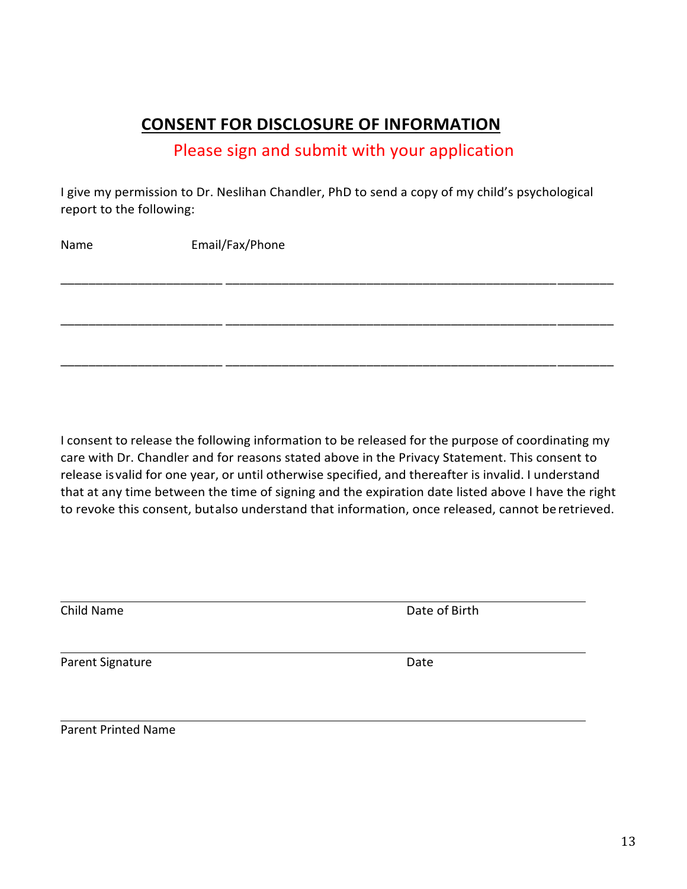### **CONSENT FOR DISCLOSURE OF INFORMATION**

### Please sign and submit with your application

I give my permission to Dr. Neslihan Chandler, PhD to send a copy of my child's psychological report to the following:

Name Email/Fax/Phone \_\_\_\_\_\_\_\_\_\_\_\_\_\_\_\_\_\_\_\_\_\_\_ \_\_\_\_\_\_\_\_\_\_\_\_\_\_\_\_\_\_\_\_\_\_\_\_\_\_\_\_\_\_\_\_\_\_\_\_\_\_\_\_\_\_\_\_\_\_\_\_\_\_\_\_\_\_\_ \_\_\_\_\_\_\_\_\_\_\_\_\_\_\_\_\_\_\_\_\_\_\_ \_\_\_\_\_\_\_\_\_\_\_\_\_\_\_\_\_\_\_\_\_\_\_\_\_\_\_\_\_\_\_\_\_\_\_\_\_\_\_\_\_\_\_\_\_\_\_\_\_\_\_\_\_\_\_ \_\_\_\_\_\_\_\_\_\_\_\_\_\_\_\_\_\_\_\_\_\_\_ \_\_\_\_\_\_\_\_\_\_\_\_\_\_\_\_\_\_\_\_\_\_\_\_\_\_\_\_\_\_\_\_\_\_\_\_\_\_\_\_\_\_\_\_\_\_\_\_\_\_\_\_\_\_\_

I consent to release the following information to be released for the purpose of coordinating my care with Dr. Chandler and for reasons stated above in the Privacy Statement. This consent to release isvalid for one year, or until otherwise specified, and thereafter is invalid. I understand that at any time between the time of signing and the expiration date listed above I have the right to revoke this consent, butalso understand that information, once released, cannot beretrieved.

Child Name Date of Birth

Parent Signature Date

Parent Printed Name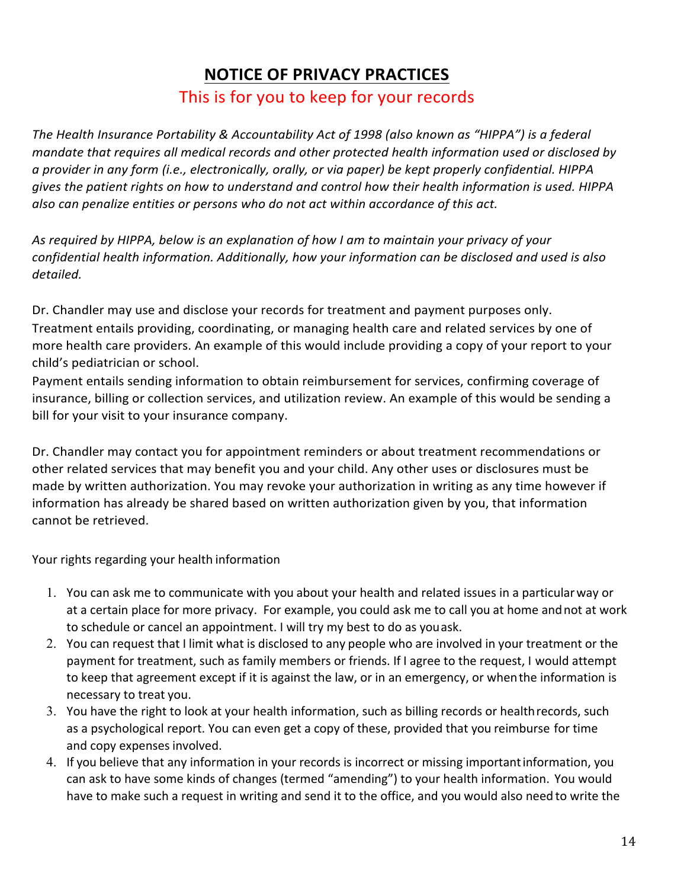### **NOTICE OF PRIVACY PRACTICES**

#### This is for you to keep for your records

*The Health Insurance Portability & Accountability Act of 1998 (also known as "HIPPA") is a federal mandate that requires all medical records and other protected health information used or disclosed by a provider in any form (i.e., electronically, orally, or via paper) be kept properly confidential. HIPPA gives the patient rights on how to understand and control how their health information is used. HIPPA also can penalize entities or persons who do not act within accordance of this act.* 

*As required by HIPPA, below is an explanation of how I am to maintain your privacy of your confidential health information. Additionally, how your information can be disclosed and used is also detailed.* 

Dr. Chandler may use and disclose your records for treatment and payment purposes only. Treatment entails providing, coordinating, or managing health care and related services by one of more health care providers. An example of this would include providing a copy of your report to your child's pediatrician or school.

Payment entails sending information to obtain reimbursement for services, confirming coverage of insurance, billing or collection services, and utilization review. An example of this would be sending a bill for your visit to your insurance company.

Dr. Chandler may contact you for appointment reminders or about treatment recommendations or other related services that may benefit you and your child. Any other uses or disclosures must be made by written authorization. You may revoke your authorization in writing as any time however if information has already be shared based on written authorization given by you, that information cannot be retrieved.

Your rights regarding your health information

- 1. You can ask me to communicate with you about your health and related issues in a particularway or at a certain place for more privacy. For example, you could ask me to call you at home andnot at work to schedule or cancel an appointment. I will try my best to do as youask.
- 2. You can request that I limit what is disclosed to any people who are involved in your treatment or the payment for treatment, such as family members or friends. If I agree to the request, I would attempt to keep that agreement except if it is against the law, or in an emergency, or whenthe information is necessary to treat you.
- 3. You have the right to look at your health information, such as billing records or healthrecords, such as a psychological report. You can even get a copy of these, provided that you reimburse for time and copy expensesinvolved.
- 4. If you believe that any information in your records is incorrect or missing importantinformation, you can ask to have some kinds of changes (termed "amending") to your health information. You would have to make such a request in writing and send it to the office, and you would also need to write the